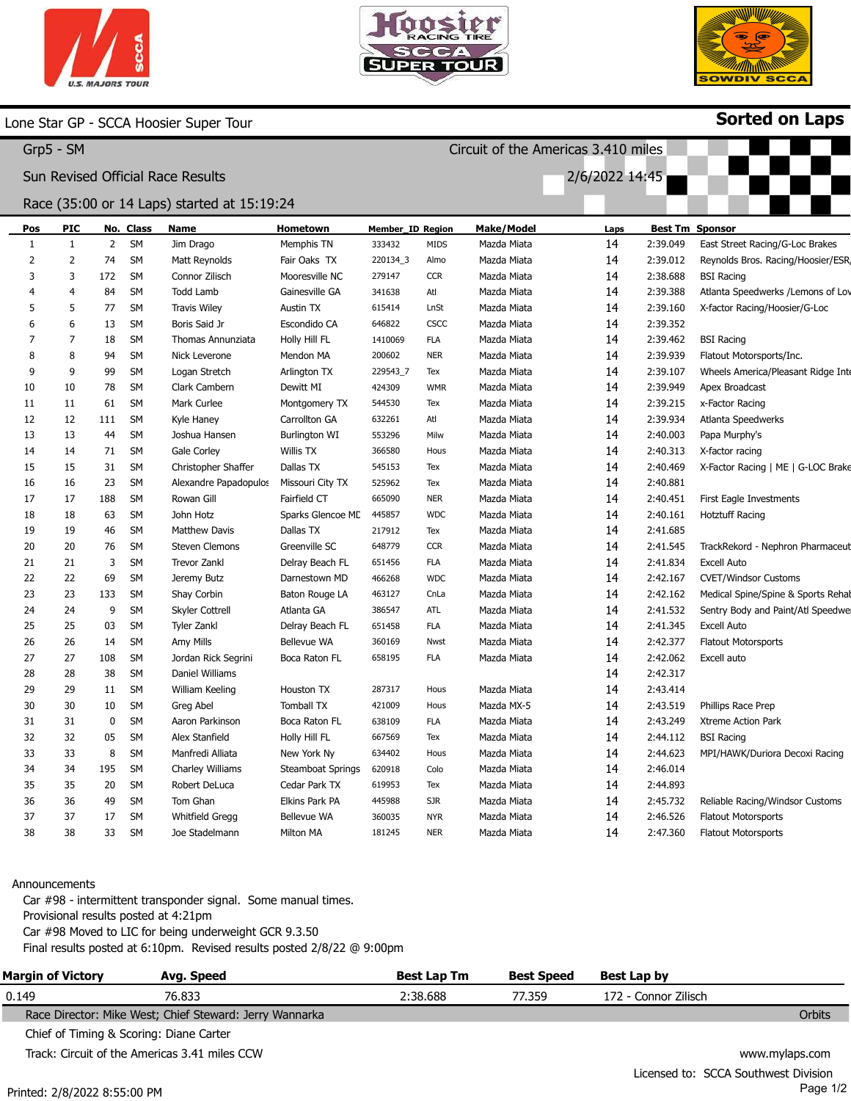





Sorted on Laps

## Lone Star GP - SCCA Hoosier Super Tour

|                                             | Grp5 - SM      |                |           |                                   |                          |                  |             | Circuit of the Americas 3.410 miles |                |          |                                    |
|---------------------------------------------|----------------|----------------|-----------|-----------------------------------|--------------------------|------------------|-------------|-------------------------------------|----------------|----------|------------------------------------|
|                                             |                |                |           | Sun Revised Official Race Results |                          |                  |             |                                     | 2/6/2022 14:45 |          |                                    |
| Race (35:00 or 14 Laps) started at 15:19:24 |                |                |           |                                   |                          |                  |             |                                     |                |          |                                    |
| Pos                                         | <b>PIC</b>     |                | No. Class | Name                              | Hometown                 | Member_ID Region |             | <b>Make/Model</b>                   | Laps           |          | <b>Best Tm Sponsor</b>             |
| 1                                           | $\mathbf{1}$   | $\overline{2}$ | <b>SM</b> | Jim Drago                         | Memphis TN               | 333432           | <b>MIDS</b> | Mazda Miata                         | 14             | 2:39.049 | East Street Racing/G-Loc Brakes    |
| 2                                           | $\overline{2}$ | 74             | SM        | Matt Reynolds                     | Fair Oaks TX             | 220134_3         | Almo        | Mazda Miata                         | 14             | 2:39.012 | Reynolds Bros. Racing/Hoosier/ESR  |
| 3                                           | 3              | 172            | <b>SM</b> | Connor Zilisch                    | Mooresville NC           | 279147           | <b>CCR</b>  | Mazda Miata                         | 14             | 2:38.688 | <b>BSI Racing</b>                  |
|                                             | $\overline{4}$ | 84             | <b>SM</b> | <b>Todd Lamb</b>                  | Gainesville GA           | 341638           | Atl         | Mazda Miata                         | 14             | 2:39.388 | Atlanta Speedwerks / Lemons of Lov |
| 5                                           | 5              | 77             | <b>SM</b> | <b>Travis Wiley</b>               | Austin TX                | 615414           | LnSt        | Mazda Miata                         | 14             | 2:39.160 | X-factor Racing/Hoosier/G-Loc      |
|                                             | 6              | 13             | <b>SM</b> | Boris Said Jr                     | Escondido CA             | 646822           | <b>CSCC</b> | Mazda Miata                         | 14             | 2:39.352 |                                    |
|                                             | $\overline{7}$ | 18             | <b>SM</b> | Thomas Annunziata                 | Holly Hill FL            | 1410069          | <b>FLA</b>  | Mazda Miata                         | 14             | 2:39.462 | <b>BSI Racing</b>                  |
| 8                                           | 8              | 94             | <b>SM</b> | Nick Leverone                     | Mendon MA                | 200602           | <b>NER</b>  | Mazda Miata                         | 14             | 2:39.939 | Flatout Motorsports/Inc.           |
| 9                                           | 9              | 99             | <b>SM</b> | Logan Stretch                     | Arlington TX             | 229543_7         | Tex         | Mazda Miata                         | 14             | 2:39.107 | Wheels America/Pleasant Ridge Inte |
| 10                                          | 10             | 78             | SM        | Clark Cambern                     | Dewitt MI                | 424309           | <b>WMR</b>  | Mazda Miata                         | 14             | 2:39.949 | Apex Broadcast                     |
| 11                                          | 11             | 61             | <b>SM</b> | Mark Curlee                       | Montgomery TX            | 544530           | Tex         | Mazda Miata                         | 14             | 2:39.215 | x-Factor Racing                    |
| 12                                          | 12             | 111            | <b>SM</b> | Kyle Haney                        | Carrollton GA            | 632261           | Atl         | Mazda Miata                         | 14             | 2:39.934 | Atlanta Speedwerks                 |
| 13                                          | 13             | 44             | <b>SM</b> | Joshua Hansen                     | <b>Burlington WI</b>     | 553296           | Milw        | Mazda Miata                         | 14             | 2:40.003 | Papa Murphy's                      |
| 14                                          | 14             | 71             | <b>SM</b> | Gale Corley                       | Willis TX                | 366580           | Hous        | Mazda Miata                         | 14             | 2:40.313 | X-factor racing                    |
| 15                                          | 15             | 31             | <b>SM</b> | Christopher Shaffer               | Dallas TX                | 545153           | Tex         | Mazda Miata                         | 14             | 2:40.469 | X-Factor Racing   ME   G-LOC Brake |
| 16                                          | 16             | 23             | <b>SM</b> | Alexandre Papadopulos             | Missouri City TX         | 525962           | Tex         | Mazda Miata                         | 14             | 2:40.881 |                                    |
| 17                                          | 17             | 188            | <b>SM</b> | Rowan Gill                        | Fairfield CT             | 665090           | <b>NER</b>  | Mazda Miata                         | 14             | 2:40.451 | First Eagle Investments            |
| 18                                          | 18             | 63             | <b>SM</b> | John Hotz                         | Sparks Glencoe MD        | 445857           | <b>WDC</b>  | Mazda Miata                         | 14             | 2:40.161 | <b>Hotztuff Racing</b>             |
| 19                                          | 19             | 46             | <b>SM</b> | <b>Matthew Davis</b>              | Dallas TX                | 217912           | Tex         | Mazda Miata                         | 14             | 2:41.685 |                                    |
| 20                                          | 20             | 76             | <b>SM</b> | <b>Steven Clemons</b>             | Greenville SC            | 648779           | <b>CCR</b>  | Mazda Miata                         | 14             | 2:41.545 | TrackRekord - Nephron Pharmaceut   |
| 21                                          | 21             | 3              | SM        | <b>Trevor Zankl</b>               | Delray Beach FL          | 651456           | <b>FLA</b>  | Mazda Miata                         | 14             | 2:41.834 | <b>Excell Auto</b>                 |
| 22                                          | 22             | 69             | <b>SM</b> | Jeremy Butz                       | Darnestown MD            | 466268           | <b>WDC</b>  | Mazda Miata                         | 14             | 2:42.167 | <b>CVET/Windsor Customs</b>        |
| 23                                          | 23             | 133            | SM        | Shay Corbin                       | Baton Rouge LA           | 463127           | CnLa        | Mazda Miata                         | 14             | 2:42.162 | Medical Spine/Spine & Sports Rehal |
| 24                                          | 24             | 9              | <b>SM</b> | <b>Skyler Cottrell</b>            | Atlanta GA               | 386547           | <b>ATL</b>  | Mazda Miata                         | 14             | 2:41.532 | Sentry Body and Paint/Atl Speedwe  |
| 25                                          | 25             | 03             | <b>SM</b> | <b>Tyler Zankl</b>                | Delray Beach FL          | 651458           | <b>FLA</b>  | Mazda Miata                         | 14             | 2:41.345 | <b>Excell Auto</b>                 |
| 26                                          | 26             | 14             | <b>SM</b> | Amy Mills                         | <b>Bellevue WA</b>       | 360169           | Nwst        | Mazda Miata                         | 14             | 2:42.377 | <b>Flatout Motorsports</b>         |
| 27                                          | 27             | 108            | <b>SM</b> | Jordan Rick Segrini               | Boca Raton FL            | 658195           | <b>FLA</b>  | Mazda Miata                         | 14             | 2:42.062 | Excell auto                        |
| 28                                          | 28             | 38             | <b>SM</b> | Daniel Williams                   |                          |                  |             |                                     | 14             | 2:42.317 |                                    |
| 29                                          | 29             | 11             | SM        | William Keeling                   | Houston TX               | 287317           | Hous        | Mazda Miata                         | 14             | 2:43.414 |                                    |
| 30                                          | 30             | 10             | <b>SM</b> | Greg Abel                         | <b>Tomball TX</b>        | 421009           | Hous        | Mazda MX-5                          | 14             | 2:43.519 | Phillips Race Prep                 |
| 31                                          | 31             | 0              | <b>SM</b> | Aaron Parkinson                   | Boca Raton FL            | 638109           | <b>FLA</b>  | Mazda Miata                         | 14             | 2:43.249 | Xtreme Action Park                 |
| 32                                          | 32             | 05             | <b>SM</b> | Alex Stanfield                    | Holly Hill FL            | 667569           | Tex         | Mazda Miata                         | 14             | 2:44.112 | <b>BSI Racing</b>                  |
| 33                                          | 33             | 8              | <b>SM</b> | Manfredi Alliata                  | New York Ny              | 634402           | Hous        | Mazda Miata                         | 14             | 2:44.623 | MPI/HAWK/Duriora Decoxi Racing     |
| 34                                          | 34             | 195            | <b>SM</b> | Charley Williams                  | <b>Steamboat Springs</b> | 620918           | Colo        | Mazda Miata                         | 14             | 2:46.014 |                                    |
| 35                                          | 35             | 20             | <b>SM</b> | Robert DeLuca                     | Cedar Park TX            | 619953           | Tex         | Mazda Miata                         | 14             | 2:44.893 |                                    |
| 36                                          | 36             | 49             | <b>SM</b> | Tom Ghan                          | Elkins Park PA           | 445988           | <b>SJR</b>  | Mazda Miata                         | 14             | 2:45.732 | Reliable Racing/Windsor Customs    |
| 37                                          | 37             | 17             | <b>SM</b> | <b>Whitfield Gregg</b>            | <b>Bellevue WA</b>       | 360035           | <b>NYR</b>  | Mazda Miata                         | 14             | 2:46.526 | <b>Flatout Motorsports</b>         |
| 38                                          | 38             | 33             | <b>SM</b> | Joe Stadelmann                    | Milton MA                | 181245           | <b>NER</b>  | Mazda Miata                         | 14             | 2:47.360 | <b>Flatout Motorsports</b>         |

## Announcements

Car #98 - intermittent transponder signal. Some manual times. Provisional results posted at 4:21pm Car #98 Moved to LIC for being underweight GCR 9.3.50 Final results posted at 6:10pm. Revised results posted 2/8/22 @ 9:00pm

| <b>Margin of Victory</b>                | Avg. Speed                                              | <b>Best Lap Tm</b> | <b>Best Speed</b> | Best Lap by          |                                      |
|-----------------------------------------|---------------------------------------------------------|--------------------|-------------------|----------------------|--------------------------------------|
| 0.149                                   | 76.833                                                  | 2:38.688           | 77.359            | 172 - Connor Zilisch |                                      |
|                                         | Race Director: Mike West; Chief Steward: Jerry Wannarka |                    |                   |                      | <b>Orbits</b>                        |
| Chief of Timing & Scoring: Diane Carter |                                                         |                    |                   |                      |                                      |
|                                         | Track: Circuit of the Americas 3.41 miles CCW           |                    |                   |                      | www.mylaps.com                       |
|                                         |                                                         |                    |                   |                      | Liconcod to: CCCA Couthwort Division |